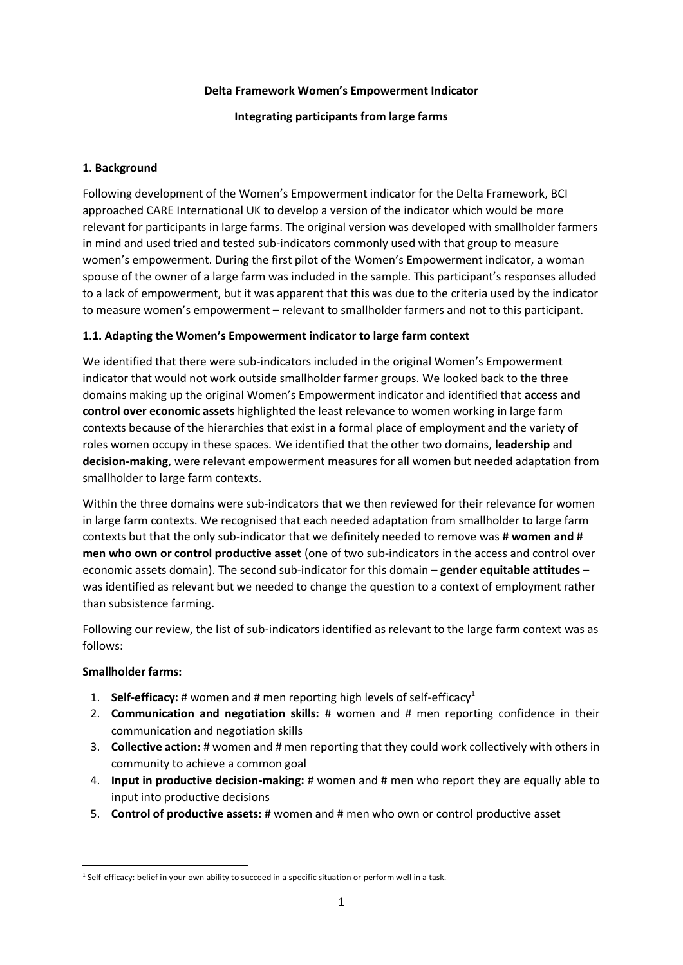#### **Delta Framework Women's Empowerment Indicator**

# **Integrating participants from large farms**

# **1. Background**

Following development of the Women's Empowerment indicator for the Delta Framework, BCI approached CARE International UK to develop a version of the indicator which would be more relevant for participants in large farms. The original version was developed with smallholder farmers in mind and used tried and tested sub-indicators commonly used with that group to measure women's empowerment. During the first pilot of the Women's Empowerment indicator, a woman spouse of the owner of a large farm was included in the sample. This participant's responses alluded to a lack of empowerment, but it was apparent that this was due to the criteria used by the indicator to measure women's empowerment – relevant to smallholder farmers and not to this participant.

# **1.1. Adapting the Women's Empowerment indicator to large farm context**

We identified that there were sub-indicators included in the original Women's Empowerment indicator that would not work outside smallholder farmer groups. We looked back to the three domains making up the original Women's Empowerment indicator and identified that **access and control over economic assets** highlighted the least relevance to women working in large farm contexts because of the hierarchies that exist in a formal place of employment and the variety of roles women occupy in these spaces. We identified that the other two domains, **leadership** and **decision-making**, were relevant empowerment measures for all women but needed adaptation from smallholder to large farm contexts.

Within the three domains were sub-indicators that we then reviewed for their relevance for women in large farm contexts. We recognised that each needed adaptation from smallholder to large farm contexts but that the only sub-indicator that we definitely needed to remove was **# women and # men who own or control productive asset** (one of two sub-indicators in the access and control over economic assets domain). The second sub-indicator for this domain – **gender equitable attitudes** – was identified as relevant but we needed to change the question to a context of employment rather than subsistence farming.

Following our review, the list of sub-indicators identified as relevant to the large farm context was as follows:

### **Smallholder farms:**

- 1. **Self-efficacy:** # women and # men reporting high levels of self-efficacy<sup>1</sup>
- 2. **Communication and negotiation skills:** # women and # men reporting confidence in their communication and negotiation skills
- 3. **Collective action:** # women and # men reporting that they could work collectively with others in community to achieve a common goal
- 4. **Input in productive decision-making:** # women and # men who report they are equally able to input into productive decisions
- 5. **Control of productive assets:** # women and # men who own or control productive asset

<sup>&</sup>lt;sup>1</sup> Self-efficacy: belief in your own ability to succeed in a specific situation or perform well in a task.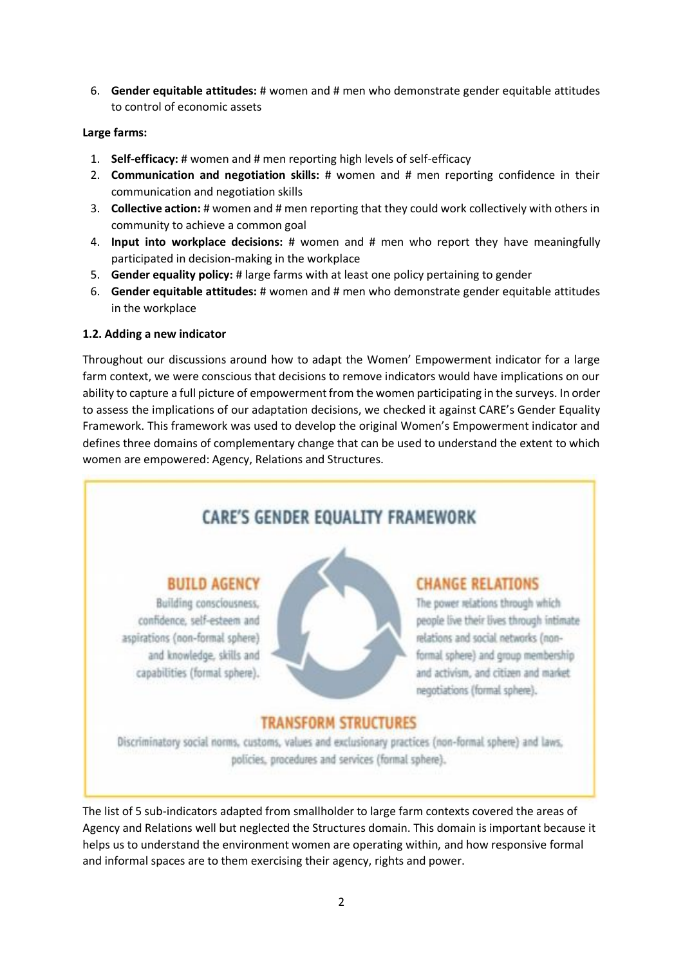6. **Gender equitable attitudes:** # women and # men who demonstrate gender equitable attitudes to control of economic assets

# **Large farms:**

- 1. **Self-efficacy:** # women and # men reporting high levels of self-efficacy
- 2. **Communication and negotiation skills:** # women and # men reporting confidence in their communication and negotiation skills
- 3. **Collective action:** # women and # men reporting that they could work collectively with others in community to achieve a common goal
- 4. **Input into workplace decisions:** # women and # men who report they have meaningfully participated in decision-making in the workplace
- 5. **Gender equality policy:** # large farms with at least one policy pertaining to gender
- 6. **Gender equitable attitudes:** # women and # men who demonstrate gender equitable attitudes in the workplace

# **1.2. Adding a new indicator**

Throughout our discussions around how to adapt the Women' Empowerment indicator for a large farm context, we were conscious that decisions to remove indicators would have implications on our ability to capture a full picture of empowerment from the women participating in the surveys. In order to assess the implications of our adaptation decisions, we checked it against CARE's Gender Equality Framework. This framework was used to develop the original Women's Empowerment indicator and defines three domains of complementary change that can be used to understand the extent to which women are empowered: Agency, Relations and Structures.

# CARE'S GENDER EQUALITY FRAMEWORK

# **BUILD AGENCY**

Building consciousness, confidence, self-esteem and aspirations (non-formal sphere) and knowledge, skills and capabilities (formal sphere).



# **CHANGE RELATIONS**

The power relations through which people live their lives through intimate relations and social networks (nonformal sphere) and group membership and activism, and citizen and market. negotiations (formal sphere).

# **TRANSFORM STRUCTURES**

Discriminatory social norms, customs, values and exclusionary practices (non-formal sphere) and laws, policies, procedures and services (formal sphere).

The list of 5 sub-indicators adapted from smallholder to large farm contexts covered the areas of Agency and Relations well but neglected the Structures domain. This domain is important because it helps us to understand the environment women are operating within, and how responsive formal and informal spaces are to them exercising their agency, rights and power.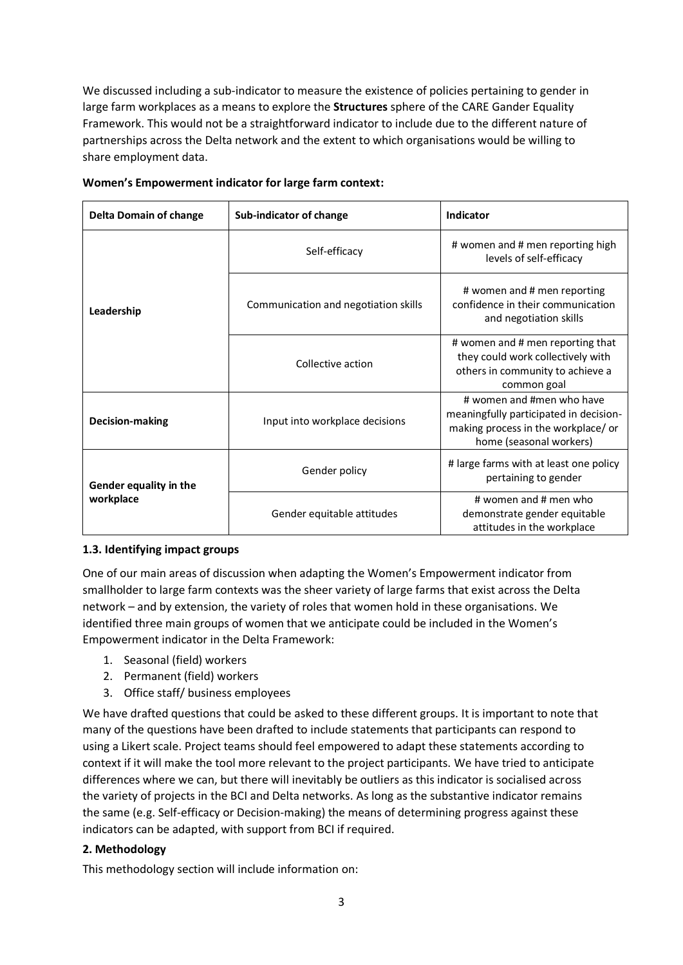We discussed including a sub-indicator to measure the existence of policies pertaining to gender in large farm workplaces as a means to explore the **Structures** sphere of the CARE Gander Equality Framework. This would not be a straightforward indicator to include due to the different nature of partnerships across the Delta network and the extent to which organisations would be willing to share employment data.

| <b>Delta Domain of change</b> | Sub-indicator of change              | Indicator                                                                                                                            |  |  |
|-------------------------------|--------------------------------------|--------------------------------------------------------------------------------------------------------------------------------------|--|--|
|                               | Self-efficacy                        | # women and # men reporting high<br>levels of self-efficacy                                                                          |  |  |
| Leadership                    | Communication and negotiation skills | # women and # men reporting<br>confidence in their communication<br>and negotiation skills                                           |  |  |
|                               | Collective action                    | # women and # men reporting that<br>they could work collectively with<br>others in community to achieve a<br>common goal             |  |  |
| <b>Decision-making</b>        | Input into workplace decisions       | # women and #men who have<br>meaningfully participated in decision-<br>making process in the workplace/or<br>home (seasonal workers) |  |  |
| Gender equality in the        | Gender policy                        | # large farms with at least one policy<br>pertaining to gender                                                                       |  |  |
| workplace                     | Gender equitable attitudes           | # women and # men who<br>demonstrate gender equitable<br>attitudes in the workplace                                                  |  |  |

### **Women's Empowerment indicator for large farm context:**

### **1.3. Identifying impact groups**

One of our main areas of discussion when adapting the Women's Empowerment indicator from smallholder to large farm contexts was the sheer variety of large farms that exist across the Delta network – and by extension, the variety of roles that women hold in these organisations. We identified three main groups of women that we anticipate could be included in the Women's Empowerment indicator in the Delta Framework:

- 1. Seasonal (field) workers
- 2. Permanent (field) workers
- 3. Office staff/ business employees

We have drafted questions that could be asked to these different groups. It is important to note that many of the questions have been drafted to include statements that participants can respond to using a Likert scale. Project teams should feel empowered to adapt these statements according to context if it will make the tool more relevant to the project participants. We have tried to anticipate differences where we can, but there will inevitably be outliers as this indicator is socialised across the variety of projects in the BCI and Delta networks. As long as the substantive indicator remains the same (e.g. Self-efficacy or Decision-making) the means of determining progress against these indicators can be adapted, with support from BCI if required.

# **2. Methodology**

This methodology section will include information on: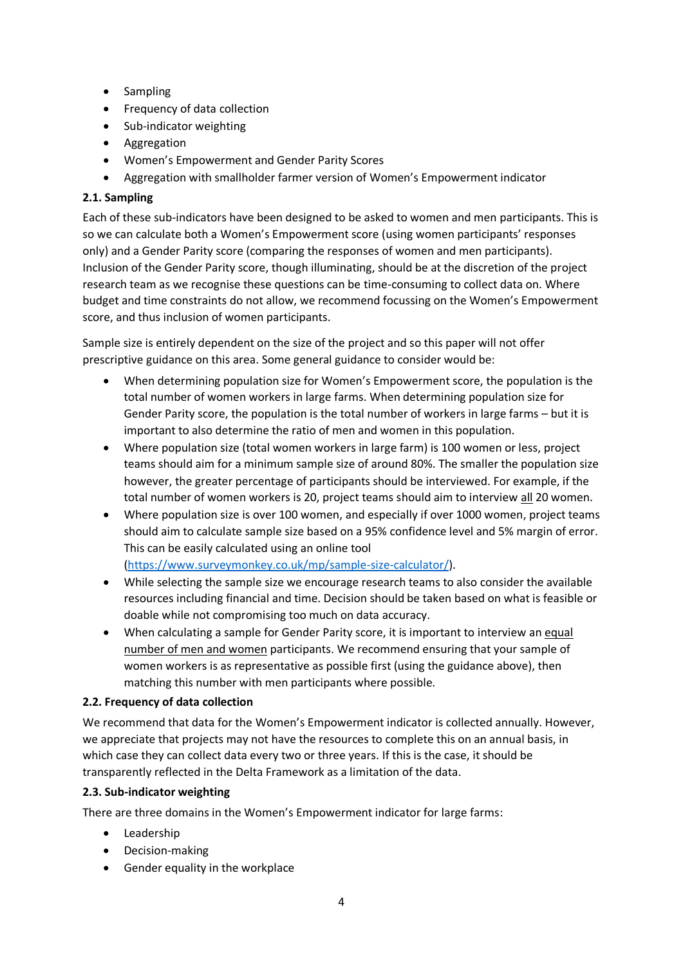- Sampling
- Frequency of data collection
- Sub-indicator weighting
- Aggregation
- Women's Empowerment and Gender Parity Scores
- Aggregation with smallholder farmer version of Women's Empowerment indicator

# **2.1. Sampling**

Each of these sub-indicators have been designed to be asked to women and men participants. This is so we can calculate both a Women's Empowerment score (using women participants' responses only) and a Gender Parity score (comparing the responses of women and men participants). Inclusion of the Gender Parity score, though illuminating, should be at the discretion of the project research team as we recognise these questions can be time-consuming to collect data on. Where budget and time constraints do not allow, we recommend focussing on the Women's Empowerment score, and thus inclusion of women participants.

Sample size is entirely dependent on the size of the project and so this paper will not offer prescriptive guidance on this area. Some general guidance to consider would be:

- When determining population size for Women's Empowerment score, the population is the total number of women workers in large farms. When determining population size for Gender Parity score, the population is the total number of workers in large farms – but it is important to also determine the ratio of men and women in this population.
- Where population size (total women workers in large farm) is 100 women or less, project teams should aim for a minimum sample size of around 80%. The smaller the population size however, the greater percentage of participants should be interviewed. For example, if the total number of women workers is 20, project teams should aim to interview all 20 women.
- Where population size is over 100 women, and especially if over 1000 women, project teams should aim to calculate sample size based on a 95% confidence level and 5% margin of error. This can be easily calculated using an online tool [\(https://www.surveymonkey.co.uk/mp/sample-size-calculator/\)](https://www.surveymonkey.co.uk/mp/sample-size-calculator/).
- While selecting the sample size we encourage research teams to also consider the available resources including financial and time. Decision should be taken based on what is feasible or doable while not compromising too much on data accuracy.
- When calculating a sample for Gender Parity score, it is important to interview an equal number of men and women participants. We recommend ensuring that your sample of women workers is as representative as possible first (using the guidance above), then matching this number with men participants where possible.

# **2.2. Frequency of data collection**

We recommend that data for the Women's Empowerment indicator is collected annually. However, we appreciate that projects may not have the resources to complete this on an annual basis, in which case they can collect data every two or three years. If this is the case, it should be transparently reflected in the Delta Framework as a limitation of the data.

# **2.3. Sub-indicator weighting**

There are three domains in the Women's Empowerment indicator for large farms:

- Leadership
- Decision-making
- Gender equality in the workplace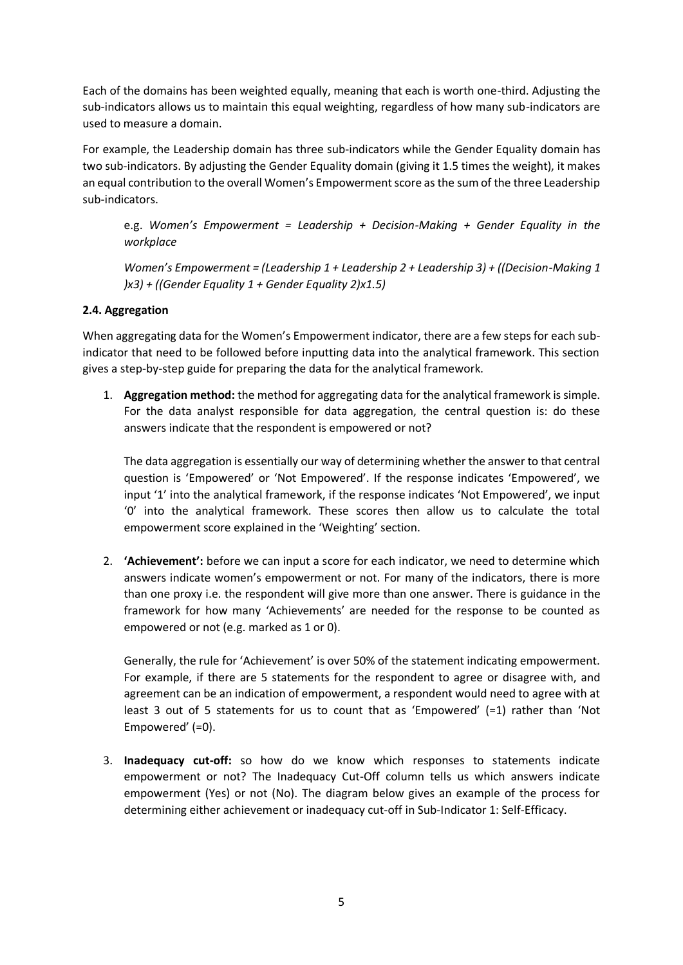Each of the domains has been weighted equally, meaning that each is worth one-third. Adjusting the sub-indicators allows us to maintain this equal weighting, regardless of how many sub-indicators are used to measure a domain.

For example, the Leadership domain has three sub-indicators while the Gender Equality domain has two sub-indicators. By adjusting the Gender Equality domain (giving it 1.5 times the weight), it makes an equal contribution to the overall Women's Empowerment score as the sum of the three Leadership sub-indicators.

e.g. *Women's Empowerment = Leadership + Decision-Making + Gender Equality in the workplace*

*Women's Empowerment = (Leadership 1 + Leadership 2 + Leadership 3) + ((Decision-Making 1*) *)x3) + ((Gender Equality 1 + Gender Equality 2)x1.5)*

# **2.4. Aggregation**

When aggregating data for the Women's Empowerment indicator, there are a few steps for each subindicator that need to be followed before inputting data into the analytical framework. This section gives a step-by-step guide for preparing the data for the analytical framework.

1. **Aggregation method:** the method for aggregating data for the analytical framework is simple. For the data analyst responsible for data aggregation, the central question is: do these answers indicate that the respondent is empowered or not?

The data aggregation is essentially our way of determining whether the answer to that central question is 'Empowered' or 'Not Empowered'. If the response indicates 'Empowered', we input '1' into the analytical framework, if the response indicates 'Not Empowered', we input '0' into the analytical framework. These scores then allow us to calculate the total empowerment score explained in the 'Weighting' section.

2. **'Achievement':** before we can input a score for each indicator, we need to determine which answers indicate women's empowerment or not. For many of the indicators, there is more than one proxy i.e. the respondent will give more than one answer. There is guidance in the framework for how many 'Achievements' are needed for the response to be counted as empowered or not (e.g. marked as 1 or 0).

Generally, the rule for 'Achievement' is over 50% of the statement indicating empowerment. For example, if there are 5 statements for the respondent to agree or disagree with, and agreement can be an indication of empowerment, a respondent would need to agree with at least 3 out of 5 statements for us to count that as 'Empowered' (=1) rather than 'Not Empowered' (=0).

3. **Inadequacy cut-off:** so how do we know which responses to statements indicate empowerment or not? The Inadequacy Cut-Off column tells us which answers indicate empowerment (Yes) or not (No). The diagram below gives an example of the process for determining either achievement or inadequacy cut-off in Sub-Indicator 1: Self-Efficacy.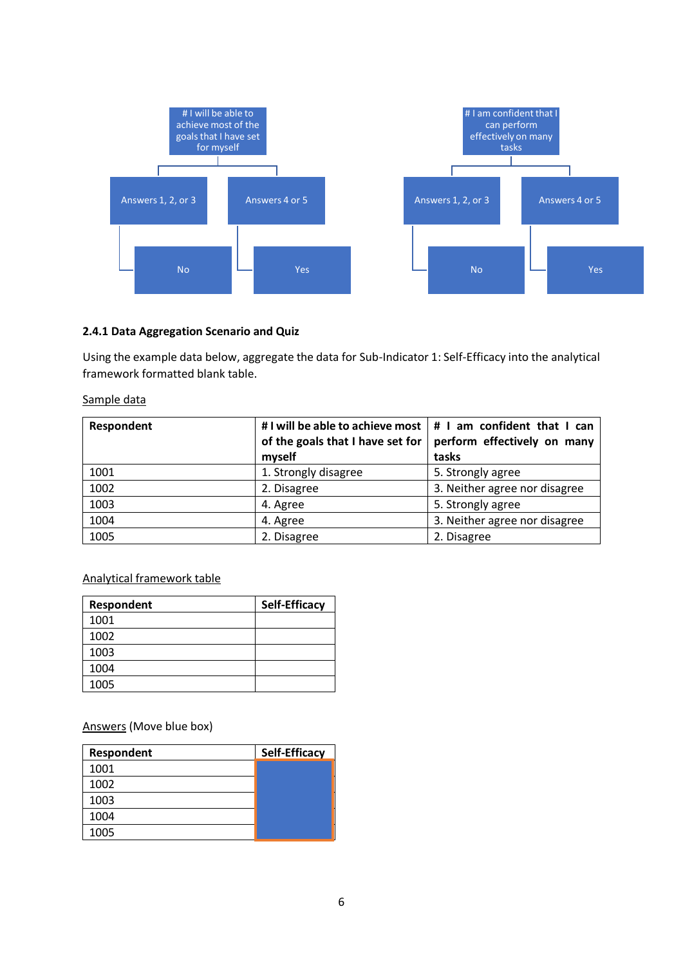

### **2.4.1 Data Aggregation Scenario and Quiz**

Using the example data below, aggregate the data for Sub-Indicator 1: Self-Efficacy into the analytical framework formatted blank table.

#### Sample data

| Respondent | # I will be able to achieve most $\vert$ # I am confident that I can<br>of the goals that I have set for<br>myself | perform effectively on many<br>tasks |
|------------|--------------------------------------------------------------------------------------------------------------------|--------------------------------------|
| 1001       | 1. Strongly disagree                                                                                               | 5. Strongly agree                    |
| 1002       | 2. Disagree                                                                                                        | 3. Neither agree nor disagree        |
| 1003       | 4. Agree                                                                                                           | 5. Strongly agree                    |
| 1004       | 4. Agree                                                                                                           | 3. Neither agree nor disagree        |
| 1005       | 2. Disagree                                                                                                        | 2. Disagree                          |

### Analytical framework table

| Respondent | Self-Efficacy |
|------------|---------------|
| 1001       |               |
| 1002       |               |
| 1003       |               |
| 1004       |               |
| 1005       |               |

Answers (Move blue box)

| Respondent | <b>Self-Efficacy</b> |
|------------|----------------------|
| 1001       |                      |
| 1002       |                      |
| 1003       |                      |
| 1004       |                      |
| 1005       |                      |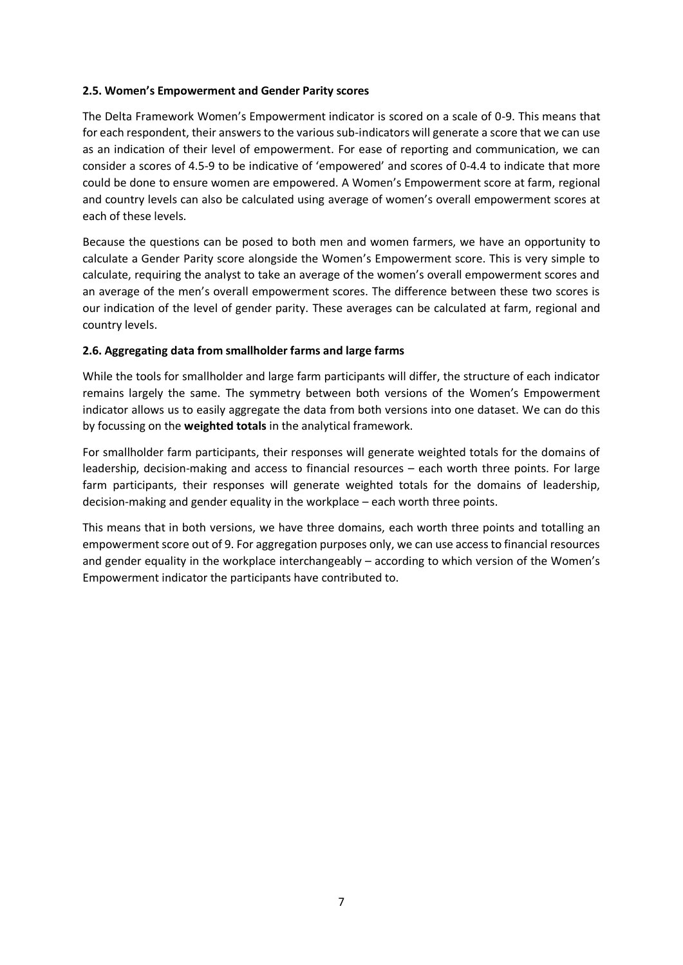# **2.5. Women's Empowerment and Gender Parity scores**

The Delta Framework Women's Empowerment indicator is scored on a scale of 0-9. This means that for each respondent, their answers to the various sub-indicators will generate a score that we can use as an indication of their level of empowerment. For ease of reporting and communication, we can consider a scores of 4.5-9 to be indicative of 'empowered' and scores of 0-4.4 to indicate that more could be done to ensure women are empowered. A Women's Empowerment score at farm, regional and country levels can also be calculated using average of women's overall empowerment scores at each of these levels.

Because the questions can be posed to both men and women farmers, we have an opportunity to calculate a Gender Parity score alongside the Women's Empowerment score. This is very simple to calculate, requiring the analyst to take an average of the women's overall empowerment scores and an average of the men's overall empowerment scores. The difference between these two scores is our indication of the level of gender parity. These averages can be calculated at farm, regional and country levels.

# **2.6. Aggregating data from smallholder farms and large farms**

While the tools for smallholder and large farm participants will differ, the structure of each indicator remains largely the same. The symmetry between both versions of the Women's Empowerment indicator allows us to easily aggregate the data from both versions into one dataset. We can do this by focussing on the **weighted totals** in the analytical framework.

For smallholder farm participants, their responses will generate weighted totals for the domains of leadership, decision-making and access to financial resources – each worth three points. For large farm participants, their responses will generate weighted totals for the domains of leadership, decision-making and gender equality in the workplace – each worth three points.

This means that in both versions, we have three domains, each worth three points and totalling an empowerment score out of 9. For aggregation purposes only, we can use access to financial resources and gender equality in the workplace interchangeably – according to which version of the Women's Empowerment indicator the participants have contributed to.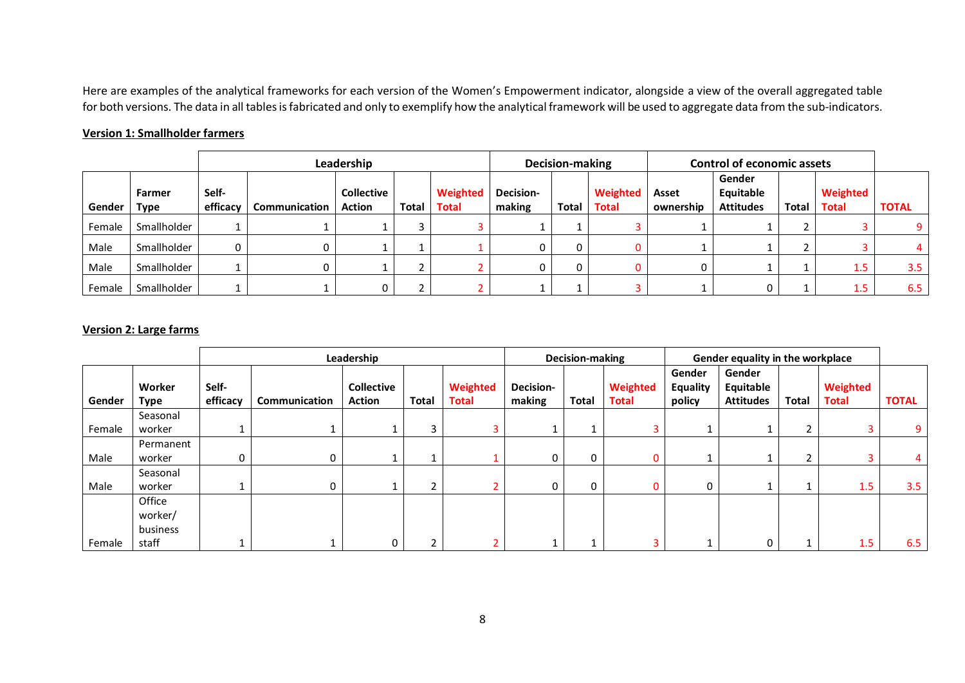Here are examples of the analytical frameworks for each version of the Women's Empowerment indicator, alongside a view of the overall aggregated table for both versions. The data in all tables is fabricated and only to exemplify how the analytical framework will be used to aggregate data from the sub-indicators.

# **Version 1: Smallholder farmers**

|        |             |          | Decision-making |                   |       | <b>Control of economic assets</b> |           |              |              |           |                     |              |              |              |
|--------|-------------|----------|-----------------|-------------------|-------|-----------------------------------|-----------|--------------|--------------|-----------|---------------------|--------------|--------------|--------------|
|        | Farmer      | Self-    |                 | <b>Collective</b> |       | Weighted                          | Decision- |              | Weighted     | Asset     | Gender<br>Equitable |              | Weighted     |              |
| Gender | Type        | efficacy | Communication   | <b>Action</b>     | Total | <b>Total</b>                      | making    | <b>Total</b> | <b>Total</b> | ownership | <b>Attitudes</b>    | <b>Total</b> | <b>Total</b> | <b>TOTAL</b> |
| Female | Smallholder |          |                 |                   |       |                                   |           |              |              |           |                     |              |              |              |
| Male   | Smallholder |          |                 |                   |       |                                   |           |              |              |           |                     |              |              |              |
| Male   | Smallholder |          |                 |                   |       |                                   |           |              |              |           |                     |              | 1.5          | 3.5          |
| Female | Smallholder |          |                 |                   |       |                                   |           |              |              |           |                     |              |              | 6.5          |

# **Version 2: Large farms**

|        |                       |                   |               | Leadership                         |              |                          | <b>Decision-making</b>     |              |                          | Gender equality in the workplace |                                         |       |                          |              |
|--------|-----------------------|-------------------|---------------|------------------------------------|--------------|--------------------------|----------------------------|--------------|--------------------------|----------------------------------|-----------------------------------------|-------|--------------------------|--------------|
| Gender | Worker<br><b>Type</b> | Self-<br>efficacy | Communication | <b>Collective</b><br><b>Action</b> | <b>Total</b> | Weighted<br><b>Total</b> | <b>Decision-</b><br>making | Total        | Weighted<br><b>Total</b> | Gender<br>Equality<br>policy     | Gender<br>Equitable<br><b>Attitudes</b> | Total | Weighted<br><b>Total</b> | <b>TOTAL</b> |
|        | Seasonal              |                   |               |                                    |              |                          |                            |              |                          |                                  |                                         |       |                          |              |
| Female | worker                |                   |               |                                    |              |                          |                            |              |                          |                                  |                                         | 2     |                          | 9            |
|        | Permanent             |                   |               |                                    |              |                          |                            |              |                          |                                  |                                         |       |                          |              |
| Male   | worker                | 0                 | 0             |                                    |              |                          | 0                          | $\mathbf{0}$ | 0                        |                                  |                                         | 2     |                          | 4            |
|        | Seasonal              |                   |               |                                    |              |                          |                            |              |                          |                                  |                                         |       |                          |              |
| Male   | worker                |                   | 0             |                                    |              |                          | 0                          | 0            | 0                        | 0                                |                                         |       | 1.5                      | 3.5          |
|        | Office                |                   |               |                                    |              |                          |                            |              |                          |                                  |                                         |       |                          |              |
|        | worker/               |                   |               |                                    |              |                          |                            |              |                          |                                  |                                         |       |                          |              |
|        | business              |                   |               |                                    |              |                          |                            |              |                          |                                  |                                         |       |                          |              |
| Female | staff                 |                   |               | 0                                  |              |                          |                            |              |                          |                                  |                                         |       | 1.5                      | 6.5          |